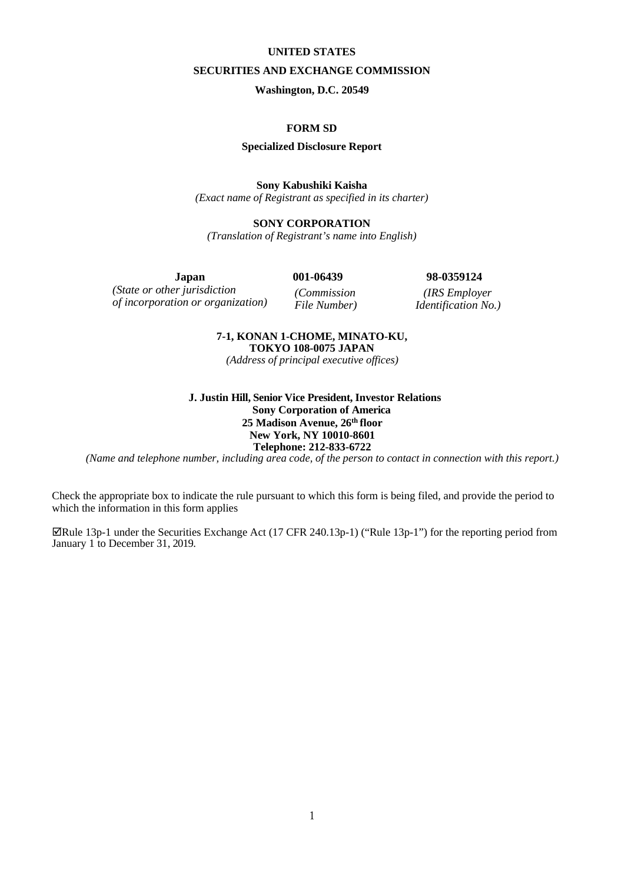#### **UNITED STATES**

#### **SECURITIES AND EXCHANGE COMMISSION**

**Washington, D.C. 20549**

# **FORM SD**

#### **Specialized Disclosure Report**

#### **Sony Kabushiki Kaisha**

*(Exact name of Registrant as specified in its charter)*

### **SONY CORPORATION**

*(Translation of Registrant's name into English)*

**Japan 001-06439 98-0359124** *(State or other jurisdiction of incorporation or organization) (Commission* 

*File Number)*

*(IRS Employer Identification No.)*

### **7-1, KONAN 1-CHOME, MINATO-KU, TOKYO 108-0075 JAPAN**

*(Address of principal executive offices)*

### **J. Justin Hill, Senior Vice President, Investor Relations Sony Corporation of America 25 Madison Avenue, 26th floor New York, NY 10010-8601 Telephone: 212-833-6722**

*(Name and telephone number, including area code, of the person to contact in connection with this report.)*

Check the appropriate box to indicate the rule pursuant to which this form is being filed, and provide the period to which the information in this form applies

Rule 13p-1 under the Securities Exchange Act (17 CFR 240.13p-1) ("Rule 13p-1") for the reporting period from January 1 to December 31, 2019.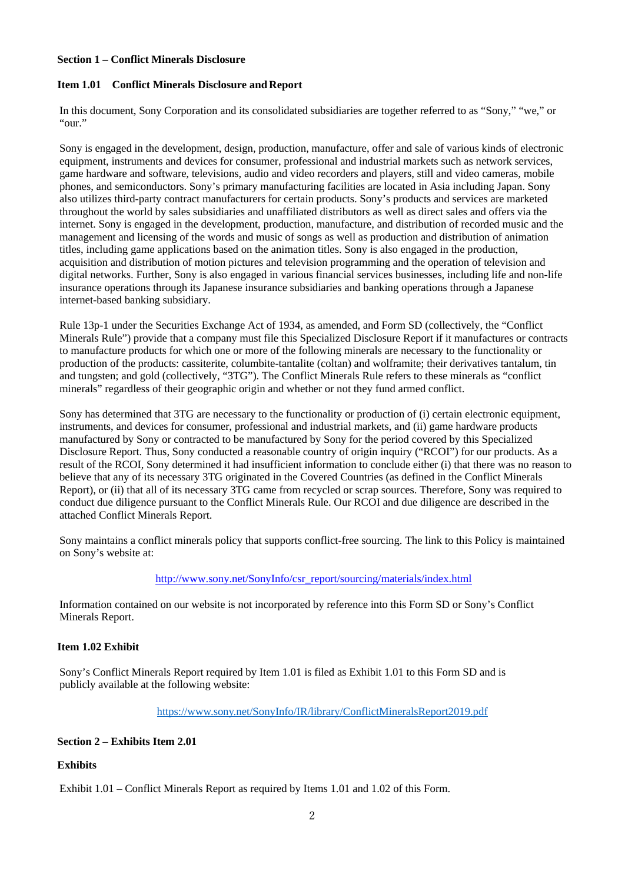### **Section 1 – Conflict Minerals Disclosure**

# **Item 1.01 Conflict Minerals Disclosure and Report**

In this document, Sony Corporation and its consolidated subsidiaries are together referred to as "Sony," "we," or "our."

Sony is engaged in the development, design, production, manufacture, offer and sale of various kinds of electronic equipment, instruments and devices for consumer, professional and industrial markets such as network services, game hardware and software, televisions, audio and video recorders and players, still and video cameras, mobile phones, and semiconductors. Sony's primary manufacturing facilities are located in Asia including Japan. Sony also utilizes third-party contract manufacturers for certain products. Sony's products and services are marketed throughout the world by sales subsidiaries and unaffiliated distributors as well as direct sales and offers via the internet. Sony is engaged in the development, production, manufacture, and distribution of recorded music and the management and licensing of the words and music of songs as well as production and distribution of animation titles, including game applications based on the animation titles. Sony is also engaged in the production, acquisition and distribution of motion pictures and television programming and the operation of television and digital networks. Further, Sony is also engaged in various financial services businesses, including life and non-life insurance operations through its Japanese insurance subsidiaries and banking operations through a Japanese internet-based banking subsidiary.

Rule 13p-1 under the Securities Exchange Act of 1934, as amended, and Form SD (collectively, the "Conflict Minerals Rule") provide that a company must file this Specialized Disclosure Report if it manufactures or contracts to manufacture products for which one or more of the following minerals are necessary to the functionality or production of the products: cassiterite, columbite-tantalite (coltan) and wolframite; their derivatives tantalum, tin and tungsten; and gold (collectively, "3TG"). The Conflict Minerals Rule refers to these minerals as "conflict minerals" regardless of their geographic origin and whether or not they fund armed conflict.

Sony has determined that 3TG are necessary to the functionality or production of (i) certain electronic equipment, instruments, and devices for consumer, professional and industrial markets, and (ii) game hardware products manufactured by Sony or contracted to be manufactured by Sony for the period covered by this Specialized Disclosure Report. Thus, Sony conducted a reasonable country of origin inquiry ("RCOI") for our products. As a result of the RCOI, Sony determined it had insufficient information to conclude either (i) that there was no reason to believe that any of its necessary 3TG originated in the Covered Countries (as defined in the Conflict Minerals Report), or (ii) that all of its necessary 3TG came from recycled or scrap sources. Therefore, Sony was required to conduct due diligence pursuant to the Conflict Minerals Rule. Our RCOI and due diligence are described in the attached Conflict Minerals Report.

Sony maintains a conflict minerals policy that supports conflict-free sourcing. The link to this Policy is maintained on Sony's website at:

### [http://www.sony.net/SonyInfo/csr\\_report/sourcing/materials/index.html](http://www.sony.net/SonyInfo/csr_report/sourcing/materials/index.html)

Information contained on our website is not incorporated by reference into this Form SD or Sony's Conflict Minerals Report.

### **Item 1.02 Exhibit**

Sony's Conflict Minerals Report required by Item 1.01 is filed as Exhibit 1.01 to this Form SD and is publicly available at the following website:

<https://www.sony.net/SonyInfo/IR/library/ConflictMineralsReport2019.pdf>

# **Section 2 – Exhibits Item 2.01**

# **Exhibits**

Exhibit 1.01 – Conflict Minerals Report as required by Items 1.01 and 1.02 of this Form.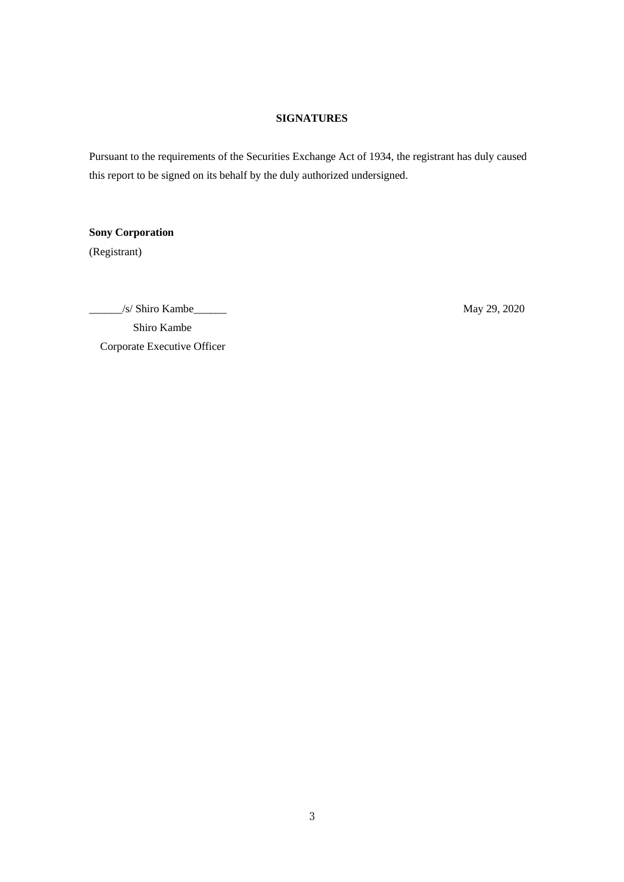# **SIGNATURES**

Pursuant to the requirements of the Securities Exchange Act of 1934, the registrant has duly caused this report to be signed on its behalf by the duly authorized undersigned.

**Sony Corporation**

(Registrant)

\_\_\_\_\_\_/s/ Shiro Kambe\_\_\_\_\_\_ May 29, 2020 Shiro Kambe Corporate Executive Officer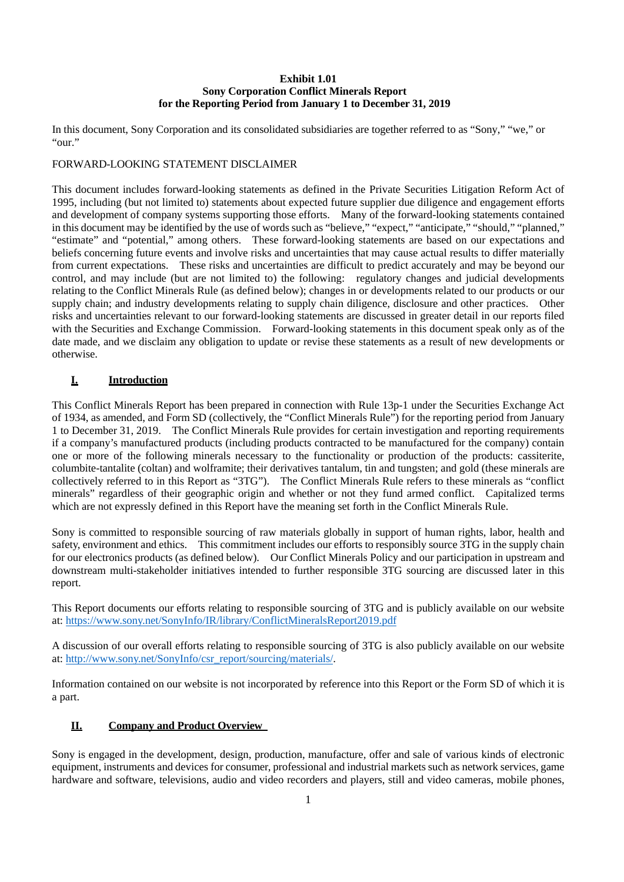### **Exhibit 1.01 Sony Corporation Conflict Minerals Report for the Reporting Period from January 1 to December 31, 2019**

In this document, Sony Corporation and its consolidated subsidiaries are together referred to as "Sony," "we," or "our."

## FORWARD-LOOKING STATEMENT DISCLAIMER

This document includes forward-looking statements as defined in the Private Securities Litigation Reform Act of 1995, including (but not limited to) statements about expected future supplier due diligence and engagement efforts and development of company systems supporting those efforts. Many of the forward-looking statements contained in this document may be identified by the use of words such as "believe," "expect," "anticipate," "should," "planned," "estimate" and "potential," among others. These forward-looking statements are based on our expectations and beliefs concerning future events and involve risks and uncertainties that may cause actual results to differ materially from current expectations. These risks and uncertainties are difficult to predict accurately and may be beyond our control, and may include (but are not limited to) the following: regulatory changes and judicial developments relating to the Conflict Minerals Rule (as defined below); changes in or developments related to our products or our supply chain; and industry developments relating to supply chain diligence, disclosure and other practices. Other risks and uncertainties relevant to our forward-looking statements are discussed in greater detail in our reports filed with the Securities and Exchange Commission. Forward-looking statements in this document speak only as of the date made, and we disclaim any obligation to update or revise these statements as a result of new developments or otherwise.

# **I. Introduction**

This Conflict Minerals Report has been prepared in connection with Rule 13p-1 under the Securities Exchange Act of 1934, as amended, and Form SD (collectively, the "Conflict Minerals Rule") for the reporting period from January 1 to December 31, 2019. The Conflict Minerals Rule provides for certain investigation and reporting requirements if a company's manufactured products (including products contracted to be manufactured for the company) contain one or more of the following minerals necessary to the functionality or production of the products: cassiterite, columbite-tantalite (coltan) and wolframite; their derivatives tantalum, tin and tungsten; and gold (these minerals are collectively referred to in this Report as "3TG"). The Conflict Minerals Rule refers to these minerals as "conflict minerals" regardless of their geographic origin and whether or not they fund armed conflict. Capitalized terms which are not expressly defined in this Report have the meaning set forth in the Conflict Minerals Rule.

Sony is committed to responsible sourcing of raw materials globally in support of human rights, labor, health and safety, environment and ethics. This commitment includes our efforts to responsibly source 3TG in the supply chain for our electronics products (as defined below). Our Conflict Minerals Policy and our participation in upstream and downstream multi-stakeholder initiatives intended to further responsible 3TG sourcing are discussed later in this report.

This Report documents our efforts relating to responsible sourcing of 3TG and is publicly available on our website at:<https://www.sony.net/SonyInfo/IR/library/ConflictMineralsReport2019.pdf>

A discussion of our overall efforts relating to responsible sourcing of 3TG is also publicly available on our website at: [http://www.sony.net/SonyInfo/csr\\_report/sourcing/materials/.](http://www.sony.net/SonyInfo/csr_report/sourcing/materials/)

Information contained on our website is not incorporated by reference into this Report or the Form SD of which it is a part.

# **II. Company and Product Overview**

Sony is engaged in the development, design, production, manufacture, offer and sale of various kinds of electronic equipment, instruments and devices for consumer, professional and industrial markets such as network services, game hardware and software, televisions, audio and video recorders and players, still and video cameras, mobile phones,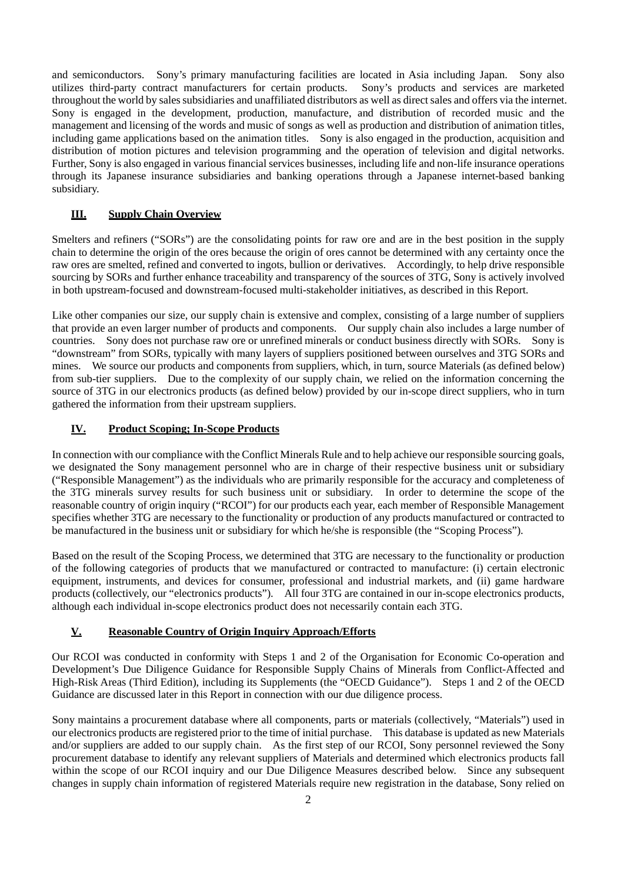and semiconductors. Sony's primary manufacturing facilities are located in Asia including Japan. Sony also utilizes third-party contract manufacturers for certain products. Sony's products and services are marketed throughout the world by sales subsidiaries and unaffiliated distributors as well as direct sales and offers via the internet. Sony is engaged in the development, production, manufacture, and distribution of recorded music and the management and licensing of the words and music of songs as well as production and distribution of animation titles, including game applications based on the animation titles. Sony is also engaged in the production, acquisition and distribution of motion pictures and television programming and the operation of television and digital networks. Further, Sony is also engaged in various financial services businesses, including life and non-life insurance operations through its Japanese insurance subsidiaries and banking operations through a Japanese internet-based banking subsidiary.

# **III. Supply Chain Overview**

Smelters and refiners ("SORs") are the consolidating points for raw ore and are in the best position in the supply chain to determine the origin of the ores because the origin of ores cannot be determined with any certainty once the raw ores are smelted, refined and converted to ingots, bullion or derivatives. Accordingly, to help drive responsible sourcing by SORs and further enhance traceability and transparency of the sources of 3TG, Sony is actively involved in both upstream-focused and downstream-focused multi-stakeholder initiatives, as described in this Report.

Like other companies our size, our supply chain is extensive and complex, consisting of a large number of suppliers that provide an even larger number of products and components. Our supply chain also includes a large number of countries. Sony does not purchase raw ore or unrefined minerals or conduct business directly with SORs. Sony is "downstream" from SORs, typically with many layers of suppliers positioned between ourselves and 3TG SORs and mines. We source our products and components from suppliers, which, in turn, source Materials (as defined below) from sub-tier suppliers. Due to the complexity of our supply chain, we relied on the information concerning the source of 3TG in our electronics products (as defined below) provided by our in-scope direct suppliers, who in turn gathered the information from their upstream suppliers.

# **IV. Product Scoping; In-Scope Products**

In connection with our compliance with the Conflict Minerals Rule and to help achieve our responsible sourcing goals, we designated the Sony management personnel who are in charge of their respective business unit or subsidiary ("Responsible Management") as the individuals who are primarily responsible for the accuracy and completeness of the 3TG minerals survey results for such business unit or subsidiary. In order to determine the scope of the reasonable country of origin inquiry ("RCOI") for our products each year, each member of Responsible Management specifies whether 3TG are necessary to the functionality or production of any products manufactured or contracted to be manufactured in the business unit or subsidiary for which he/she is responsible (the "Scoping Process").

Based on the result of the Scoping Process, we determined that 3TG are necessary to the functionality or production of the following categories of products that we manufactured or contracted to manufacture: (i) certain electronic equipment, instruments, and devices for consumer, professional and industrial markets, and (ii) game hardware products (collectively, our "electronics products"). All four 3TG are contained in our in-scope electronics products, although each individual in-scope electronics product does not necessarily contain each 3TG.

# **V. Reasonable Country of Origin Inquiry Approach/Efforts**

Our RCOI was conducted in conformity with Steps 1 and 2 of the Organisation for Economic Co-operation and Development's Due Diligence Guidance for Responsible Supply Chains of Minerals from Conflict-Affected and High-Risk Areas (Third Edition), including its Supplements (the "OECD Guidance"). Steps 1 and 2 of the OECD Guidance are discussed later in this Report in connection with our due diligence process.

Sony maintains a procurement database where all components, parts or materials (collectively, "Materials") used in our electronics products are registered prior to the time of initial purchase. This database is updated as new Materials and/or suppliers are added to our supply chain. As the first step of our RCOI, Sony personnel reviewed the Sony procurement database to identify any relevant suppliers of Materials and determined which electronics products fall within the scope of our RCOI inquiry and our Due Diligence Measures described below. Since any subsequent changes in supply chain information of registered Materials require new registration in the database, Sony relied on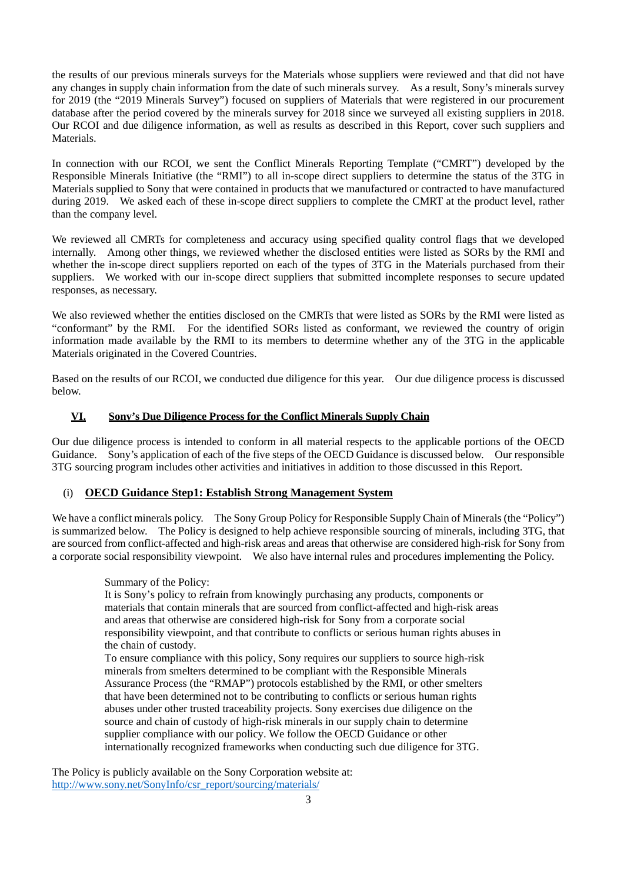the results of our previous minerals surveys for the Materials whose suppliers were reviewed and that did not have any changes in supply chain information from the date of such minerals survey. As a result, Sony's minerals survey for 2019 (the "2019 Minerals Survey") focused on suppliers of Materials that were registered in our procurement database after the period covered by the minerals survey for 2018 since we surveyed all existing suppliers in 2018. Our RCOI and due diligence information, as well as results as described in this Report, cover such suppliers and Materials.

In connection with our RCOI, we sent the Conflict Minerals Reporting Template ("CMRT") developed by the Responsible Minerals Initiative (the "RMI") to all in-scope direct suppliers to determine the status of the 3TG in Materials supplied to Sony that were contained in products that we manufactured or contracted to have manufactured during 2019. We asked each of these in-scope direct suppliers to complete the CMRT at the product level, rather than the company level.

We reviewed all CMRTs for completeness and accuracy using specified quality control flags that we developed internally. Among other things, we reviewed whether the disclosed entities were listed as SORs by the RMI and whether the in-scope direct suppliers reported on each of the types of 3TG in the Materials purchased from their suppliers. We worked with our in-scope direct suppliers that submitted incomplete responses to secure updated responses, as necessary.

We also reviewed whether the entities disclosed on the CMRTs that were listed as SORs by the RMI were listed as "conformant" by the RMI. For the identified SORs listed as conformant, we reviewed the country of origin information made available by the RMI to its members to determine whether any of the 3TG in the applicable Materials originated in the Covered Countries.

Based on the results of our RCOI, we conducted due diligence for this year. Our due diligence process is discussed below.

## **VI. Sony's Due Diligence Process for the Conflict Minerals Supply Chain**

Our due diligence process is intended to conform in all material respects to the applicable portions of the OECD Guidance. Sony's application of each of the five steps of the OECD Guidance is discussed below. Our responsible 3TG sourcing program includes other activities and initiatives in addition to those discussed in this Report.

### (i) **OECD Guidance Step1: Establish Strong Management System**

We have a conflict minerals policy. The Sony Group Policy for Responsible Supply Chain of Minerals (the "Policy") is summarized below. The Policy is designed to help achieve responsible sourcing of minerals, including 3TG, that are sourced from conflict-affected and high-risk areas and areas that otherwise are considered high-risk for Sony from a corporate social responsibility viewpoint. We also have internal rules and procedures implementing the Policy.

### Summary of the Policy:

It is Sony's policy to refrain from knowingly purchasing any products, components or materials that contain minerals that are sourced from conflict-affected and high-risk areas and areas that otherwise are considered high-risk for Sony from a corporate social responsibility viewpoint, and that contribute to conflicts or serious human rights abuses in the chain of custody.

To ensure compliance with this policy, Sony requires our suppliers to source high-risk minerals from smelters determined to be compliant with the Responsible Minerals Assurance Process (the "RMAP") protocols established by the RMI, or other smelters that have been determined not to be contributing to conflicts or serious human rights abuses under other trusted traceability projects. Sony exercises due diligence on the source and chain of custody of high-risk minerals in our supply chain to determine supplier compliance with our policy. We follow the OECD Guidance or other internationally recognized frameworks when conducting such due diligence for 3TG.

The Policy is publicly available on the Sony Corporation website at: [http://www.sony.net/SonyInfo/csr\\_report/sourcing/materials/](http://www.sony.net/SonyInfo/csr_report/sourcing/materials/)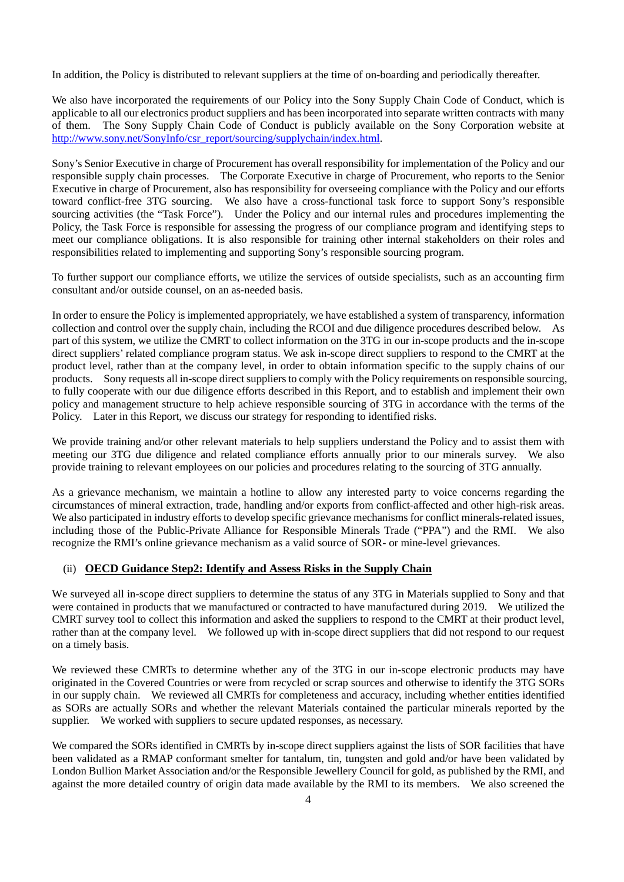In addition, the Policy is distributed to relevant suppliers at the time of on-boarding and periodically thereafter.

We also have incorporated the requirements of our Policy into the Sony Supply Chain Code of Conduct, which is applicable to all our electronics product suppliers and has been incorporated into separate written contracts with many of them. The Sony Supply Chain Code of Conduct is publicly available on the Sony Corporation website at [http://www.sony.net/SonyInfo/csr\\_report/sourcing/supplychain/index.html.](http://www.sony.net/SonyInfo/csr_report/sourcing/supplychain/index.html)

Sony's Senior Executive in charge of Procurement has overall responsibility for implementation of the Policy and our responsible supply chain processes. The Corporate Executive in charge of Procurement, who reports to the Senior Executive in charge of Procurement, also has responsibility for overseeing compliance with the Policy and our efforts toward conflict-free 3TG sourcing. We also have a cross-functional task force to support Sony's responsible sourcing activities (the "Task Force"). Under the Policy and our internal rules and procedures implementing the Policy, the Task Force is responsible for assessing the progress of our compliance program and identifying steps to meet our compliance obligations. It is also responsible for training other internal stakeholders on their roles and responsibilities related to implementing and supporting Sony's responsible sourcing program.

To further support our compliance efforts, we utilize the services of outside specialists, such as an accounting firm consultant and/or outside counsel, on an as-needed basis.

In order to ensure the Policy is implemented appropriately, we have established a system of transparency, information collection and control over the supply chain, including the RCOI and due diligence procedures described below. As part of this system, we utilize the CMRT to collect information on the 3TG in our in-scope products and the in-scope direct suppliers' related compliance program status. We ask in-scope direct suppliers to respond to the CMRT at the product level, rather than at the company level, in order to obtain information specific to the supply chains of our products. Sony requests all in-scope direct suppliers to comply with the Policy requirements on responsible sourcing, to fully cooperate with our due diligence efforts described in this Report, and to establish and implement their own policy and management structure to help achieve responsible sourcing of 3TG in accordance with the terms of the Policy. Later in this Report, we discuss our strategy for responding to identified risks.

We provide training and/or other relevant materials to help suppliers understand the Policy and to assist them with meeting our 3TG due diligence and related compliance efforts annually prior to our minerals survey. We also provide training to relevant employees on our policies and procedures relating to the sourcing of 3TG annually.

As a grievance mechanism, we maintain a hotline to allow any interested party to voice concerns regarding the circumstances of mineral extraction, trade, handling and/or exports from conflict-affected and other high-risk areas. We also participated in industry efforts to develop specific grievance mechanisms for conflict minerals-related issues, including those of the Public-Private Alliance for Responsible Minerals Trade ("PPA") and the RMI. We also recognize the RMI's online grievance mechanism as a valid source of SOR- or mine-level grievances.

# (ii) **OECD Guidance Step2: Identify and Assess Risks in the Supply Chain**

We surveyed all in-scope direct suppliers to determine the status of any 3TG in Materials supplied to Sony and that were contained in products that we manufactured or contracted to have manufactured during 2019. We utilized the CMRT survey tool to collect this information and asked the suppliers to respond to the CMRT at their product level, rather than at the company level. We followed up with in-scope direct suppliers that did not respond to our request on a timely basis.

We reviewed these CMRTs to determine whether any of the 3TG in our in-scope electronic products may have originated in the Covered Countries or were from recycled or scrap sources and otherwise to identify the 3TG SORs in our supply chain. We reviewed all CMRTs for completeness and accuracy, including whether entities identified as SORs are actually SORs and whether the relevant Materials contained the particular minerals reported by the supplier. We worked with suppliers to secure updated responses, as necessary.

We compared the SORs identified in CMRTs by in-scope direct suppliers against the lists of SOR facilities that have been validated as a RMAP conformant smelter for tantalum, tin, tungsten and gold and/or have been validated by London Bullion Market Association and/or the Responsible Jewellery Council for gold, as published by the RMI, and against the more detailed country of origin data made available by the RMI to its members. We also screened the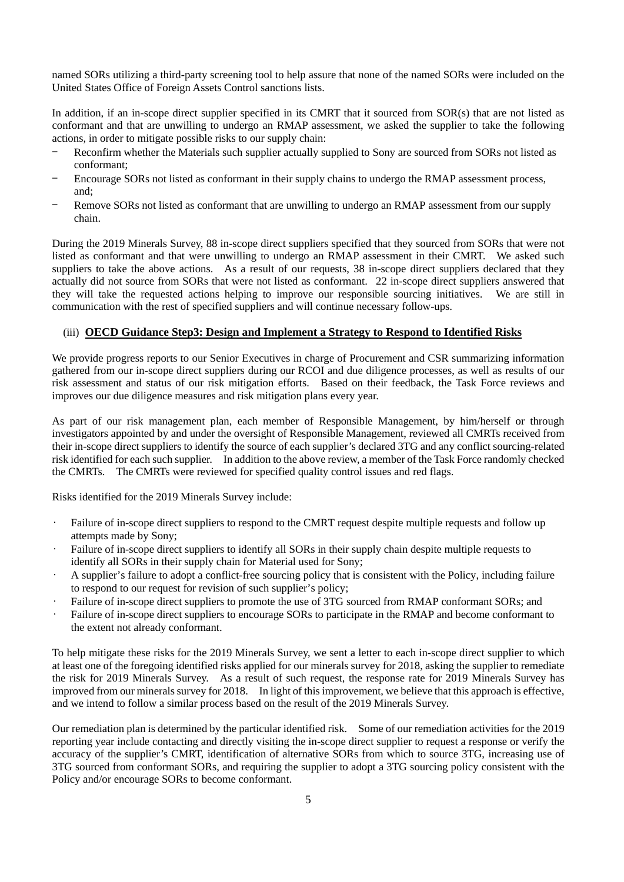named SORs utilizing a third-party screening tool to help assure that none of the named SORs were included on the United States Office of Foreign Assets Control sanctions lists.

In addition, if an in-scope direct supplier specified in its CMRT that it sourced from SOR(s) that are not listed as conformant and that are unwilling to undergo an RMAP assessment, we asked the supplier to take the following actions, in order to mitigate possible risks to our supply chain:

- Reconfirm whether the Materials such supplier actually supplied to Sony are sourced from SORs not listed as conformant;
- Encourage SORs not listed as conformant in their supply chains to undergo the RMAP assessment process, and;
- Remove SORs not listed as conformant that are unwilling to undergo an RMAP assessment from our supply chain.

During the 2019 Minerals Survey, 88 in-scope direct suppliers specified that they sourced from SORs that were not listed as conformant and that were unwilling to undergo an RMAP assessment in their CMRT. We asked such suppliers to take the above actions. As a result of our requests, 38 in-scope direct suppliers declared that they actually did not source from SORs that were not listed as conformant. 22 in-scope direct suppliers answered that they will take the requested actions helping to improve our responsible sourcing initiatives. We are still in communication with the rest of specified suppliers and will continue necessary follow-ups.

# (iii) **OECD Guidance Step3: Design and Implement a Strategy to Respond to Identified Risks**

We provide progress reports to our Senior Executives in charge of Procurement and CSR summarizing information gathered from our in-scope direct suppliers during our RCOI and due diligence processes, as well as results of our risk assessment and status of our risk mitigation efforts. Based on their feedback, the Task Force reviews and improves our due diligence measures and risk mitigation plans every year.

As part of our risk management plan, each member of Responsible Management, by him/herself or through investigators appointed by and under the oversight of Responsible Management, reviewed all CMRTs received from their in-scope direct suppliers to identify the source of each supplier's declared 3TG and any conflict sourcing-related risk identified for each such supplier. In addition to the above review, a member of the Task Force randomly checked the CMRTs. The CMRTs were reviewed for specified quality control issues and red flags.

Risks identified for the 2019 Minerals Survey include:

- Failure of in-scope direct suppliers to respond to the CMRT request despite multiple requests and follow up attempts made by Sony;
- Failure of in-scope direct suppliers to identify all SORs in their supply chain despite multiple requests to identify all SORs in their supply chain for Material used for Sony;
- A supplier's failure to adopt a conflict-free sourcing policy that is consistent with the Policy, including failure to respond to our request for revision of such supplier's policy;
- Failure of in-scope direct suppliers to promote the use of 3TG sourced from RMAP conformant SORs; and
- Failure of in-scope direct suppliers to encourage SORs to participate in the RMAP and become conformant to the extent not already conformant.

To help mitigate these risks for the 2019 Minerals Survey, we sent a letter to each in-scope direct supplier to which at least one of the foregoing identified risks applied for our minerals survey for 2018, asking the supplier to remediate the risk for 2019 Minerals Survey. As a result of such request, the response rate for 2019 Minerals Survey has improved from our minerals survey for 2018. In light of thisimprovement, we believe that this approach is effective, and we intend to follow a similar process based on the result of the 2019 Minerals Survey.

Our remediation plan is determined by the particular identified risk. Some of our remediation activities for the 2019 reporting year include contacting and directly visiting the in-scope direct supplier to request a response or verify the accuracy of the supplier's CMRT, identification of alternative SORs from which to source 3TG, increasing use of 3TG sourced from conformant SORs, and requiring the supplier to adopt a 3TG sourcing policy consistent with the Policy and/or encourage SORs to become conformant.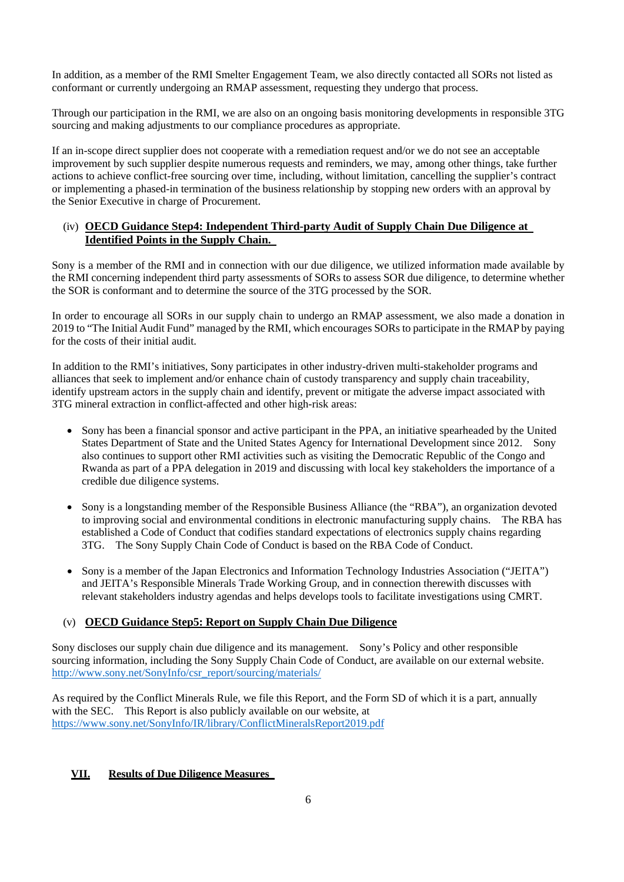In addition, as a member of the RMI Smelter Engagement Team, we also directly contacted all SORs not listed as conformant or currently undergoing an RMAP assessment, requesting they undergo that process.

Through our participation in the RMI, we are also on an ongoing basis monitoring developments in responsible 3TG sourcing and making adjustments to our compliance procedures as appropriate.

If an in-scope direct supplier does not cooperate with a remediation request and/or we do not see an acceptable improvement by such supplier despite numerous requests and reminders, we may, among other things, take further actions to achieve conflict-free sourcing over time, including, without limitation, cancelling the supplier's contract or implementing a phased-in termination of the business relationship by stopping new orders with an approval by the Senior Executive in charge of Procurement.

# (iv) **OECD Guidance Step4: Independent Third-party Audit of Supply Chain Due Diligence at Identified Points in the Supply Chain.**

Sony is a member of the RMI and in connection with our due diligence, we utilized information made available by the RMI concerning independent third party assessments of SORs to assess SOR due diligence, to determine whether the SOR is conformant and to determine the source of the 3TG processed by the SOR.

In order to encourage all SORs in our supply chain to undergo an RMAP assessment, we also made a donation in 2019 to "The Initial Audit Fund" managed by the RMI, which encourages SORs to participate in the RMAP by paying for the costs of their initial audit.

In addition to the RMI's initiatives, Sony participates in other industry-driven multi-stakeholder programs and alliances that seek to implement and/or enhance chain of custody transparency and supply chain traceability, identify upstream actors in the supply chain and identify, prevent or mitigate the adverse impact associated with 3TG mineral extraction in conflict-affected and other high-risk areas:

- Sony has been a financial sponsor and active participant in the PPA, an initiative spearheaded by the United States Department of State and the United States Agency for International Development since 2012. Sony also continues to support other RMI activities such as visiting the Democratic Republic of the Congo and Rwanda as part of a PPA delegation in 2019 and discussing with local key stakeholders the importance of a credible due diligence systems.
- Sony is a longstanding member of the Responsible Business Alliance (the "RBA"), an organization devoted to improving social and environmental conditions in electronic manufacturing supply chains. The RBA has established a Code of Conduct that codifies standard expectations of electronics supply chains regarding 3TG. The Sony Supply Chain Code of Conduct is based on the RBA Code of Conduct.
- Sony is a member of the Japan Electronics and Information Technology Industries Association ("JEITA") and JEITA's Responsible Minerals Trade Working Group, and in connection therewith discusses with relevant stakeholders industry agendas and helps develops tools to facilitate investigations using CMRT.

# (v) **OECD Guidance Step5: Report on Supply Chain Due Diligence**

Sony discloses our supply chain due diligence and its management. Sony's Policy and other responsible sourcing information, including the Sony Supply Chain Code of Conduct, are available on our external website. [http://www.sony.net/SonyInfo/csr\\_report/sourcing/materials/](http://www.sony.net/SonyInfo/csr_report/sourcing/materials/)

As required by the Conflict Minerals Rule, we file this Report, and the Form SD of which it is a part, annually with the SEC. This Report is also publicly available on our website, at [https://www.sony.net/SonyInfo/IR/library/ConflictMineralsReport2019.pdf](https://www.sony.net/SonyInfo/IR/library/ConflictMineralsReport2018.pdf%5bto)

# **VII. Results of Due Diligence Measures**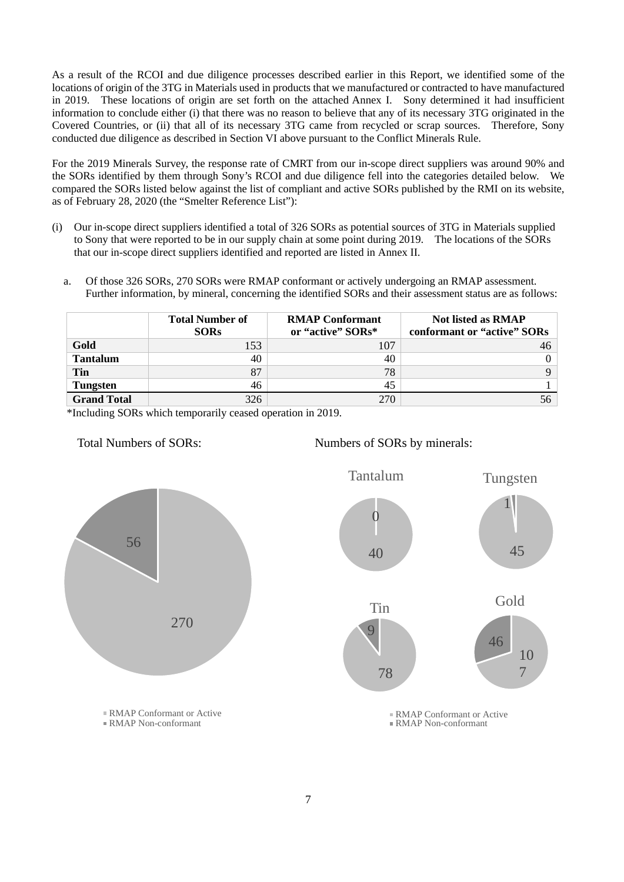As a result of the RCOI and due diligence processes described earlier in this Report, we identified some of the locations of origin of the 3TG in Materials used in products that we manufactured or contracted to have manufactured in 2019. These locations of origin are set forth on the attached Annex I. Sony determined it had insufficient information to conclude either (i) that there was no reason to believe that any of its necessary 3TG originated in the Covered Countries, or (ii) that all of its necessary 3TG came from recycled or scrap sources. Therefore, Sony conducted due diligence as described in Section VI above pursuant to the Conflict Minerals Rule.

For the 2019 Minerals Survey, the response rate of CMRT from our in-scope direct suppliers was around 90% and the SORs identified by them through Sony's RCOI and due diligence fell into the categories detailed below. We compared the SORs listed below against the list of compliant and active SORs published by the RMI on its website, as of February 28, 2020 (the "Smelter Reference List"):

- (i) Our in-scope direct suppliers identified a total of 326 SORs as potential sources of 3TG in Materials supplied to Sony that were reported to be in our supply chain at some point during 2019. The locations of the SORs that our in-scope direct suppliers identified and reported are listed in Annex II.
	- a. Of those 326 SORs, 270 SORs were RMAP conformant or actively undergoing an RMAP assessment. Further information, by mineral, concerning the identified SORs and their assessment status are as follows:

|                    | <b>Total Number of</b> | <b>RMAP Conformant</b> | <b>Not listed as RMAP</b>   |
|--------------------|------------------------|------------------------|-----------------------------|
|                    | <b>SORs</b>            | or "active" SORs*      | conformant or "active" SORs |
| Gold               | 153                    | 107                    |                             |
| <b>Tantalum</b>    | 40                     | 40                     |                             |
| Tin                | 87                     | 78                     |                             |
| <b>Tungsten</b>    | 46                     | 45                     |                             |
| <b>Grand Total</b> | 326                    | 270                    |                             |

\*Including SORs which temporarily ceased operation in 2019.





RMAP Conformant or Active RMAP Non-conformant

7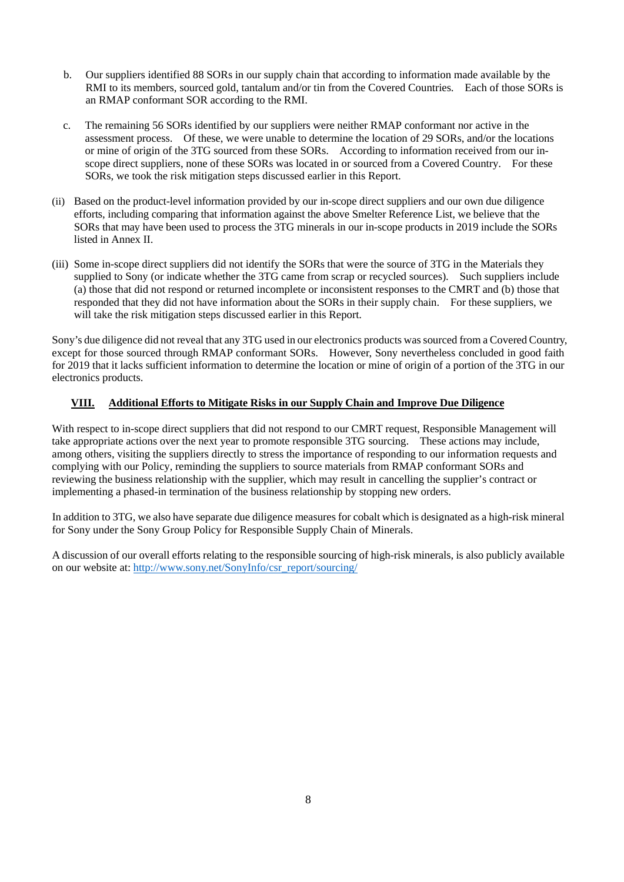- b. Our suppliers identified 88 SORs in our supply chain that according to information made available by the RMI to its members, sourced gold, tantalum and/or tin from the Covered Countries. Each of those SORs is an RMAP conformant SOR according to the RMI.
- c. The remaining 56 SORs identified by our suppliers were neither RMAP conformant nor active in the assessment process. Of these, we were unable to determine the location of 29 SORs, and/or the locations or mine of origin of the 3TG sourced from these SORs. According to information received from our inscope direct suppliers, none of these SORs was located in or sourced from a Covered Country. For these SORs, we took the risk mitigation steps discussed earlier in this Report.
- (ii) Based on the product-level information provided by our in-scope direct suppliers and our own due diligence efforts, including comparing that information against the above Smelter Reference List, we believe that the SORs that may have been used to process the 3TG minerals in our in-scope products in 2019 include the SORs listed in Annex II.
- (iii) Some in-scope direct suppliers did not identify the SORs that were the source of 3TG in the Materials they supplied to Sony (or indicate whether the 3TG came from scrap or recycled sources). Such suppliers include (a) those that did not respond or returned incomplete or inconsistent responses to the CMRT and (b) those that responded that they did not have information about the SORs in their supply chain. For these suppliers, we will take the risk mitigation steps discussed earlier in this Report.

Sony's due diligence did not reveal that any 3TG used in our electronics products was sourced from a Covered Country, except for those sourced through RMAP conformant SORs. However, Sony nevertheless concluded in good faith for 2019 that it lacks sufficient information to determine the location or mine of origin of a portion of the 3TG in our electronics products.

# **VIII. Additional Efforts to Mitigate Risks in our Supply Chain and Improve Due Diligence**

With respect to in-scope direct suppliers that did not respond to our CMRT request, Responsible Management will take appropriate actions over the next year to promote responsible 3TG sourcing. These actions may include, among others, visiting the suppliers directly to stress the importance of responding to our information requests and complying with our Policy, reminding the suppliers to source materials from RMAP conformant SORs and reviewing the business relationship with the supplier, which may result in cancelling the supplier's contract or implementing a phased-in termination of the business relationship by stopping new orders.

In addition to 3TG, we also have separate due diligence measures for cobalt which is designated as a high-risk mineral for Sony under the Sony Group Policy for Responsible Supply Chain of Minerals.

A discussion of our overall efforts relating to the responsible sourcing of high-risk minerals, is also publicly available on our website at: [http://www.sony.net/SonyInfo/csr\\_report/sourcing/](http://www.sony.net/SonyInfo/csr_report/sourcing/materials/)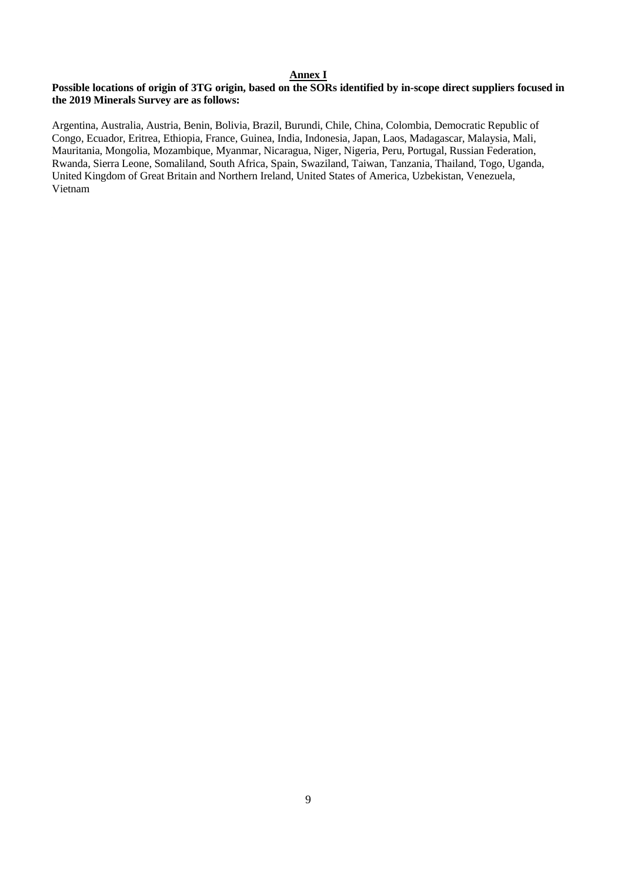# **Annex I**

## **Possible locations of origin of 3TG origin, based on the SORs identified by in-scope direct suppliers focused in the 2019 Minerals Survey are as follows:**

Argentina, Australia, Austria, Benin, Bolivia, Brazil, Burundi, Chile, China, Colombia, Democratic Republic of Congo, Ecuador, Eritrea, Ethiopia, France, Guinea, India, Indonesia, Japan, Laos, Madagascar, Malaysia, Mali, Mauritania, Mongolia, Mozambique, Myanmar, Nicaragua, Niger, Nigeria, Peru, Portugal, Russian Federation, Rwanda, Sierra Leone, Somaliland, South Africa, Spain, Swaziland, Taiwan, Tanzania, Thailand, Togo, Uganda, United Kingdom of Great Britain and Northern Ireland, United States of America, Uzbekistan, Venezuela, Vietnam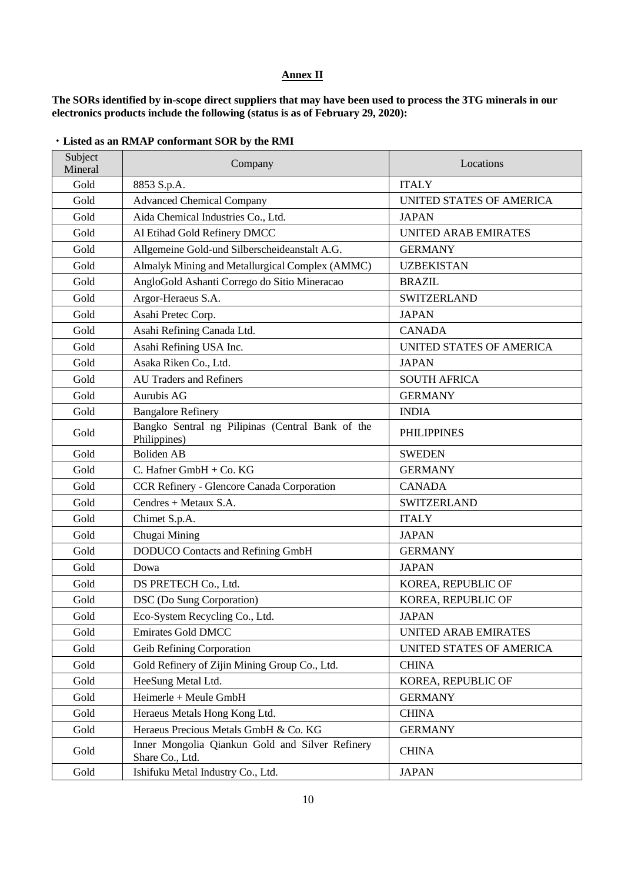# **Annex II**

**The SORs identified by in-scope direct suppliers that may have been used to process the 3TG minerals in our electronics products include the following (status is as of February 29, 2020):**

| Subject<br>Mineral | Company                                                            | Locations                   |
|--------------------|--------------------------------------------------------------------|-----------------------------|
| Gold               | 8853 S.p.A.                                                        | <b>ITALY</b>                |
| Gold               | <b>Advanced Chemical Company</b>                                   | UNITED STATES OF AMERICA    |
| Gold               | Aida Chemical Industries Co., Ltd.                                 | <b>JAPAN</b>                |
| Gold               | Al Etihad Gold Refinery DMCC                                       | <b>UNITED ARAB EMIRATES</b> |
| Gold               | Allgemeine Gold-und Silberscheideanstalt A.G.                      | <b>GERMANY</b>              |
| Gold               | Almalyk Mining and Metallurgical Complex (AMMC)                    | <b>UZBEKISTAN</b>           |
| Gold               | AngloGold Ashanti Corrego do Sitio Mineracao                       | <b>BRAZIL</b>               |
| Gold               | Argor-Heraeus S.A.                                                 | <b>SWITZERLAND</b>          |
| Gold               | Asahi Pretec Corp.                                                 | <b>JAPAN</b>                |
| Gold               | Asahi Refining Canada Ltd.                                         | <b>CANADA</b>               |
| Gold               | Asahi Refining USA Inc.                                            | UNITED STATES OF AMERICA    |
| Gold               | Asaka Riken Co., Ltd.                                              | <b>JAPAN</b>                |
| Gold               | <b>AU Traders and Refiners</b>                                     | <b>SOUTH AFRICA</b>         |
| Gold               | Aurubis AG                                                         | <b>GERMANY</b>              |
| Gold               | <b>Bangalore Refinery</b>                                          | <b>INDIA</b>                |
| Gold               | Bangko Sentral ng Pilipinas (Central Bank of the<br>Philippines)   | <b>PHILIPPINES</b>          |
| Gold               | <b>Boliden AB</b>                                                  | <b>SWEDEN</b>               |
| Gold               | C. Hafner GmbH + Co. KG                                            | <b>GERMANY</b>              |
| Gold               | CCR Refinery - Glencore Canada Corporation                         | <b>CANADA</b>               |
| Gold               | Cendres + Metaux S.A.                                              | <b>SWITZERLAND</b>          |
| Gold               | Chimet S.p.A.                                                      | <b>ITALY</b>                |
| Gold               | Chugai Mining                                                      | <b>JAPAN</b>                |
| Gold               | <b>DODUCO</b> Contacts and Refining GmbH                           | <b>GERMANY</b>              |
| Gold               | Dowa                                                               | <b>JAPAN</b>                |
| Gold               | DS PRETECH Co., Ltd.                                               | KOREA, REPUBLIC OF          |
| Gold               | DSC (Do Sung Corporation)                                          | KOREA, REPUBLIC OF          |
| Gold               | Eco-System Recycling Co., Ltd.                                     | <b>JAPAN</b>                |
| Gold               | <b>Emirates Gold DMCC</b>                                          | <b>UNITED ARAB EMIRATES</b> |
| Gold               | Geib Refining Corporation                                          | UNITED STATES OF AMERICA    |
| Gold               | Gold Refinery of Zijin Mining Group Co., Ltd.                      | <b>CHINA</b>                |
| Gold               | HeeSung Metal Ltd.                                                 | KOREA, REPUBLIC OF          |
| Gold               | Heimerle + Meule GmbH                                              | <b>GERMANY</b>              |
| Gold               | Heraeus Metals Hong Kong Ltd.                                      | <b>CHINA</b>                |
| Gold               | Heraeus Precious Metals GmbH & Co. KG                              | <b>GERMANY</b>              |
| Gold               | Inner Mongolia Qiankun Gold and Silver Refinery<br>Share Co., Ltd. | <b>CHINA</b>                |
| Gold               | Ishifuku Metal Industry Co., Ltd.                                  | <b>JAPAN</b>                |

# ・**Listed as an RMAP conformant SOR by the RMI**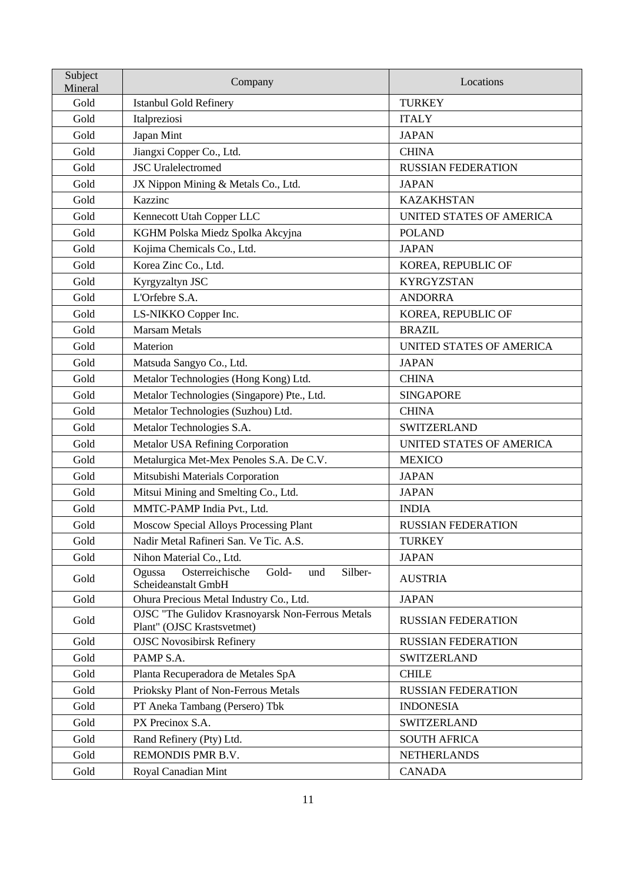| Subject<br>Mineral | Company                                                                               | Locations                       |
|--------------------|---------------------------------------------------------------------------------------|---------------------------------|
| Gold               | <b>Istanbul Gold Refinery</b>                                                         | <b>TURKEY</b>                   |
| Gold               | Italpreziosi                                                                          | <b>ITALY</b>                    |
| Gold               | Japan Mint                                                                            | <b>JAPAN</b>                    |
| Gold               | Jiangxi Copper Co., Ltd.                                                              | <b>CHINA</b>                    |
| Gold               | <b>JSC</b> Uralelectromed                                                             | <b>RUSSIAN FEDERATION</b>       |
| Gold               | JX Nippon Mining & Metals Co., Ltd.                                                   | <b>JAPAN</b>                    |
| Gold               | Kazzinc                                                                               | <b>KAZAKHSTAN</b>               |
| Gold               | Kennecott Utah Copper LLC                                                             | <b>UNITED STATES OF AMERICA</b> |
| Gold               | KGHM Polska Miedz Spolka Akcyjna                                                      | <b>POLAND</b>                   |
| Gold               | Kojima Chemicals Co., Ltd.                                                            | <b>JAPAN</b>                    |
| Gold               | Korea Zinc Co., Ltd.                                                                  | KOREA, REPUBLIC OF              |
| Gold               | Kyrgyzaltyn JSC                                                                       | <b>KYRGYZSTAN</b>               |
| Gold               | L'Orfebre S.A.                                                                        | <b>ANDORRA</b>                  |
| Gold               | LS-NIKKO Copper Inc.                                                                  | KOREA, REPUBLIC OF              |
| Gold               | <b>Marsam Metals</b>                                                                  | <b>BRAZIL</b>                   |
| Gold               | Materion                                                                              | <b>UNITED STATES OF AMERICA</b> |
| Gold               | Matsuda Sangyo Co., Ltd.                                                              | <b>JAPAN</b>                    |
| Gold               | Metalor Technologies (Hong Kong) Ltd.                                                 | <b>CHINA</b>                    |
| Gold               | Metalor Technologies (Singapore) Pte., Ltd.                                           | <b>SINGAPORE</b>                |
| Gold               | Metalor Technologies (Suzhou) Ltd.                                                    | <b>CHINA</b>                    |
| Gold               | Metalor Technologies S.A.                                                             | <b>SWITZERLAND</b>              |
| Gold               | Metalor USA Refining Corporation                                                      | UNITED STATES OF AMERICA        |
| Gold               | Metalurgica Met-Mex Penoles S.A. De C.V.                                              | <b>MEXICO</b>                   |
| Gold               | Mitsubishi Materials Corporation                                                      | <b>JAPAN</b>                    |
| Gold               | Mitsui Mining and Smelting Co., Ltd.                                                  | <b>JAPAN</b>                    |
| Gold               | MMTC-PAMP India Pvt., Ltd.                                                            | <b>INDIA</b>                    |
| Gold               | Moscow Special Alloys Processing Plant                                                | <b>RUSSIAN FEDERATION</b>       |
| Gold               | Nadir Metal Rafineri San. Ve Tic. A.S.                                                | <b>TURKEY</b>                   |
| Gold               | Nihon Material Co., Ltd.                                                              | <b>JAPAN</b>                    |
| Gold               | Osterreichische<br>Ogussa<br>Gold-<br>Silber-<br>und<br>Scheideanstalt GmbH           | <b>AUSTRIA</b>                  |
| Gold               | Ohura Precious Metal Industry Co., Ltd.                                               | <b>JAPAN</b>                    |
| Gold               | <b>OJSC "The Gulidov Krasnoyarsk Non-Ferrous Metals</b><br>Plant" (OJSC Krastsvetmet) | <b>RUSSIAN FEDERATION</b>       |
| Gold               | <b>OJSC Novosibirsk Refinery</b>                                                      | <b>RUSSIAN FEDERATION</b>       |
| Gold               | PAMP S.A.                                                                             | <b>SWITZERLAND</b>              |
| Gold               | Planta Recuperadora de Metales SpA                                                    | <b>CHILE</b>                    |
| Gold               | Prioksky Plant of Non-Ferrous Metals                                                  | <b>RUSSIAN FEDERATION</b>       |
| Gold               | PT Aneka Tambang (Persero) Tbk                                                        | <b>INDONESIA</b>                |
| Gold               | PX Precinox S.A.                                                                      | <b>SWITZERLAND</b>              |
| Gold               | Rand Refinery (Pty) Ltd.                                                              | <b>SOUTH AFRICA</b>             |
| Gold               | REMONDIS PMR B.V.                                                                     | <b>NETHERLANDS</b>              |
| Gold               | Royal Canadian Mint                                                                   | <b>CANADA</b>                   |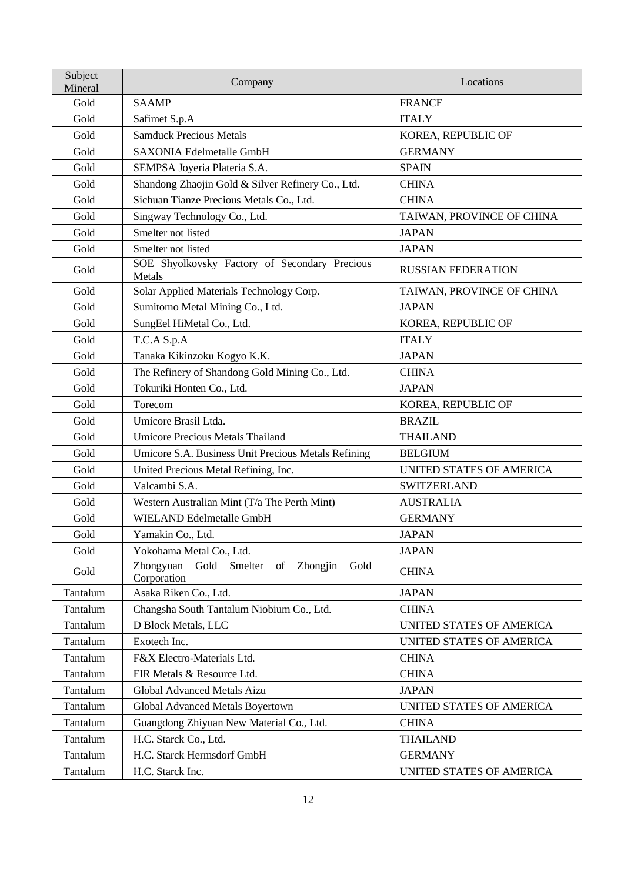| Subject<br>Mineral | Company                                                               | Locations                 |
|--------------------|-----------------------------------------------------------------------|---------------------------|
| Gold               | <b>SAAMP</b>                                                          | <b>FRANCE</b>             |
| Gold               | Safimet S.p.A                                                         | <b>ITALY</b>              |
| Gold               | <b>Samduck Precious Metals</b>                                        | KOREA, REPUBLIC OF        |
| Gold               | <b>SAXONIA Edelmetalle GmbH</b>                                       | <b>GERMANY</b>            |
| Gold               | SEMPSA Joyeria Plateria S.A.                                          | <b>SPAIN</b>              |
| Gold               | Shandong Zhaojin Gold & Silver Refinery Co., Ltd.                     | <b>CHINA</b>              |
| Gold               | Sichuan Tianze Precious Metals Co., Ltd.                              | <b>CHINA</b>              |
| Gold               | Singway Technology Co., Ltd.                                          | TAIWAN, PROVINCE OF CHINA |
| Gold               | Smelter not listed                                                    | <b>JAPAN</b>              |
| Gold               | Smelter not listed                                                    | <b>JAPAN</b>              |
| Gold               | SOE Shyolkovsky Factory of Secondary Precious<br>Metals               | <b>RUSSIAN FEDERATION</b> |
| Gold               | Solar Applied Materials Technology Corp.                              | TAIWAN, PROVINCE OF CHINA |
| Gold               | Sumitomo Metal Mining Co., Ltd.                                       | <b>JAPAN</b>              |
| Gold               | SungEel HiMetal Co., Ltd.                                             | KOREA, REPUBLIC OF        |
| Gold               | T.C.A S.p.A                                                           | <b>ITALY</b>              |
| Gold               | Tanaka Kikinzoku Kogyo K.K.                                           | <b>JAPAN</b>              |
| Gold               | The Refinery of Shandong Gold Mining Co., Ltd.                        | <b>CHINA</b>              |
| Gold               | Tokuriki Honten Co., Ltd.                                             | <b>JAPAN</b>              |
| Gold               | Torecom                                                               | KOREA, REPUBLIC OF        |
| Gold               | Umicore Brasil Ltda.                                                  | <b>BRAZIL</b>             |
| Gold               | <b>Umicore Precious Metals Thailand</b>                               | <b>THAILAND</b>           |
| Gold               | Umicore S.A. Business Unit Precious Metals Refining                   | <b>BELGIUM</b>            |
| Gold               | United Precious Metal Refining, Inc.                                  | UNITED STATES OF AMERICA  |
| Gold               | Valcambi S.A.                                                         | <b>SWITZERLAND</b>        |
| Gold               | Western Australian Mint (T/a The Perth Mint)                          | <b>AUSTRALIA</b>          |
| Gold               | <b>WIELAND Edelmetalle GmbH</b>                                       | <b>GERMANY</b>            |
| Gold               | Yamakin Co., Ltd.                                                     | <b>JAPAN</b>              |
| Gold               | Yokohama Metal Co., Ltd.                                              | <b>JAPAN</b>              |
| Gold               | Gold<br>Zhongjin<br>Zhongyuan<br>Smelter<br>of<br>Gold<br>Corporation | <b>CHINA</b>              |
| Tantalum           | Asaka Riken Co., Ltd.                                                 | <b>JAPAN</b>              |
| Tantalum           | Changsha South Tantalum Niobium Co., Ltd.                             | <b>CHINA</b>              |
| Tantalum           | D Block Metals, LLC                                                   | UNITED STATES OF AMERICA  |
| Tantalum           | Exotech Inc.                                                          | UNITED STATES OF AMERICA  |
| Tantalum           | F&X Electro-Materials Ltd.                                            | <b>CHINA</b>              |
| Tantalum           | FIR Metals & Resource Ltd.                                            | <b>CHINA</b>              |
| Tantalum           | Global Advanced Metals Aizu                                           | <b>JAPAN</b>              |
| Tantalum           | Global Advanced Metals Boyertown                                      | UNITED STATES OF AMERICA  |
| Tantalum           | Guangdong Zhiyuan New Material Co., Ltd.                              | <b>CHINA</b>              |
| Tantalum           | H.C. Starck Co., Ltd.                                                 | <b>THAILAND</b>           |
| Tantalum           | H.C. Starck Hermsdorf GmbH                                            | <b>GERMANY</b>            |
| Tantalum           | H.C. Starck Inc.                                                      | UNITED STATES OF AMERICA  |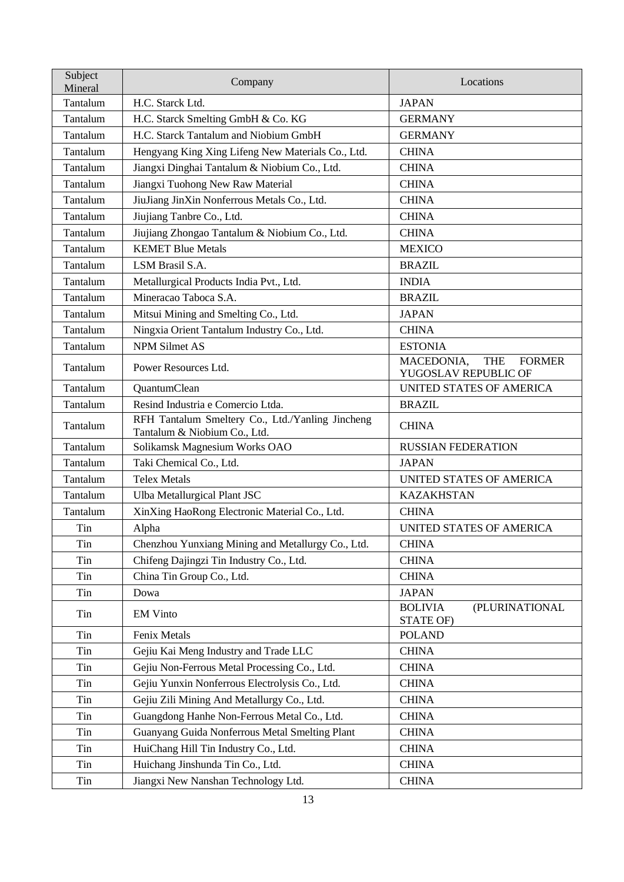| Subject<br>Mineral | Company                                                                          | Locations                                                         |
|--------------------|----------------------------------------------------------------------------------|-------------------------------------------------------------------|
| Tantalum           | H.C. Starck Ltd.                                                                 | <b>JAPAN</b>                                                      |
| Tantalum           | H.C. Starck Smelting GmbH & Co. KG                                               | <b>GERMANY</b>                                                    |
| Tantalum           | H.C. Starck Tantalum and Niobium GmbH                                            | <b>GERMANY</b>                                                    |
| Tantalum           | Hengyang King Xing Lifeng New Materials Co., Ltd.                                | <b>CHINA</b>                                                      |
| Tantalum           | Jiangxi Dinghai Tantalum & Niobium Co., Ltd.                                     | <b>CHINA</b>                                                      |
| Tantalum           | Jiangxi Tuohong New Raw Material                                                 | <b>CHINA</b>                                                      |
| Tantalum           | JiuJiang JinXin Nonferrous Metals Co., Ltd.                                      | <b>CHINA</b>                                                      |
| Tantalum           | Jiujiang Tanbre Co., Ltd.                                                        | <b>CHINA</b>                                                      |
| Tantalum           | Jiujiang Zhongao Tantalum & Niobium Co., Ltd.                                    | <b>CHINA</b>                                                      |
| Tantalum           | <b>KEMET Blue Metals</b>                                                         | <b>MEXICO</b>                                                     |
| Tantalum           | LSM Brasil S.A.                                                                  | <b>BRAZIL</b>                                                     |
| Tantalum           | Metallurgical Products India Pvt., Ltd.                                          | <b>INDIA</b>                                                      |
| Tantalum           | Mineracao Taboca S.A.                                                            | <b>BRAZIL</b>                                                     |
| Tantalum           | Mitsui Mining and Smelting Co., Ltd.                                             | <b>JAPAN</b>                                                      |
| Tantalum           | Ningxia Orient Tantalum Industry Co., Ltd.                                       | <b>CHINA</b>                                                      |
| Tantalum           | <b>NPM Silmet AS</b>                                                             | <b>ESTONIA</b>                                                    |
| Tantalum           | Power Resources Ltd.                                                             | MACEDONIA,<br><b>THE</b><br><b>FORMER</b><br>YUGOSLAV REPUBLIC OF |
| Tantalum           | QuantumClean                                                                     | UNITED STATES OF AMERICA                                          |
| Tantalum           | Resind Industria e Comercio Ltda.                                                | <b>BRAZIL</b>                                                     |
| Tantalum           | RFH Tantalum Smeltery Co., Ltd./Yanling Jincheng<br>Tantalum & Niobium Co., Ltd. | <b>CHINA</b>                                                      |
| Tantalum           | Solikamsk Magnesium Works OAO                                                    | <b>RUSSIAN FEDERATION</b>                                         |
| Tantalum           | Taki Chemical Co., Ltd.                                                          | <b>JAPAN</b>                                                      |
| Tantalum           | <b>Telex Metals</b>                                                              | UNITED STATES OF AMERICA                                          |
| Tantalum           | Ulba Metallurgical Plant JSC                                                     | <b>KAZAKHSTAN</b>                                                 |
| Tantalum           | XinXing HaoRong Electronic Material Co., Ltd.                                    | <b>CHINA</b>                                                      |
| Tin                | Alpha                                                                            | UNITED STATES OF AMERICA                                          |
| Tin                | Chenzhou Yunxiang Mining and Metallurgy Co., Ltd.                                | <b>CHINA</b>                                                      |
| Tin                | Chifeng Dajingzi Tin Industry Co., Ltd.                                          | <b>CHINA</b>                                                      |
| Tin                | China Tin Group Co., Ltd.                                                        | <b>CHINA</b>                                                      |
| Tin                | Dowa                                                                             | <b>JAPAN</b>                                                      |
| Tin                | <b>EM Vinto</b>                                                                  | <b>BOLIVIA</b><br>(PLURINATIONAL<br>STATE OF)                     |
| Tin                | Fenix Metals                                                                     | <b>POLAND</b>                                                     |
| Tin                | Gejiu Kai Meng Industry and Trade LLC                                            | <b>CHINA</b>                                                      |
| Tin                | Gejiu Non-Ferrous Metal Processing Co., Ltd.                                     | <b>CHINA</b>                                                      |
| Tin                | Gejiu Yunxin Nonferrous Electrolysis Co., Ltd.                                   | <b>CHINA</b>                                                      |
| Tin                | Gejiu Zili Mining And Metallurgy Co., Ltd.                                       | <b>CHINA</b>                                                      |
| Tin                | Guangdong Hanhe Non-Ferrous Metal Co., Ltd.                                      | <b>CHINA</b>                                                      |
| Tin                | Guanyang Guida Nonferrous Metal Smelting Plant                                   | <b>CHINA</b>                                                      |
| Tin                | HuiChang Hill Tin Industry Co., Ltd.                                             | <b>CHINA</b>                                                      |
| Tin                | Huichang Jinshunda Tin Co., Ltd.                                                 | <b>CHINA</b>                                                      |
| Tin                | Jiangxi New Nanshan Technology Ltd.                                              | <b>CHINA</b>                                                      |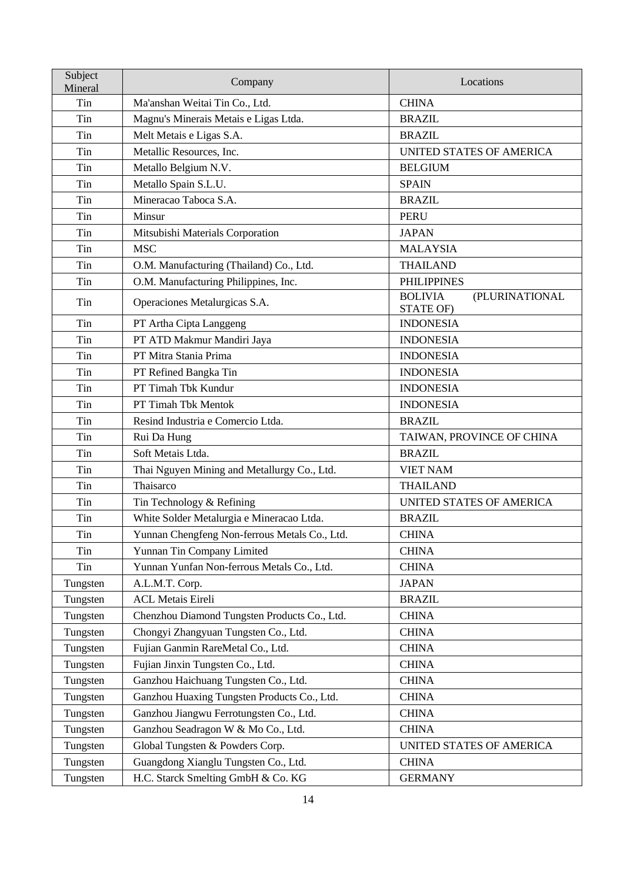| Subject<br>Mineral | Company                                       | Locations                                     |
|--------------------|-----------------------------------------------|-----------------------------------------------|
| Tin                | Ma'anshan Weitai Tin Co., Ltd.                | <b>CHINA</b>                                  |
| Tin                | Magnu's Minerais Metais e Ligas Ltda.         | <b>BRAZIL</b>                                 |
| Tin                | Melt Metais e Ligas S.A.                      | <b>BRAZIL</b>                                 |
| Tin                | Metallic Resources, Inc.                      | UNITED STATES OF AMERICA                      |
| Tin                | Metallo Belgium N.V.                          | <b>BELGIUM</b>                                |
| Tin                | Metallo Spain S.L.U.                          | <b>SPAIN</b>                                  |
| Tin                | Mineracao Taboca S.A.                         | <b>BRAZIL</b>                                 |
| Tin                | Minsur                                        | <b>PERU</b>                                   |
| Tin                | Mitsubishi Materials Corporation              | <b>JAPAN</b>                                  |
| Tin                | <b>MSC</b>                                    | <b>MALAYSIA</b>                               |
| Tin                | O.M. Manufacturing (Thailand) Co., Ltd.       | <b>THAILAND</b>                               |
| Tin                | O.M. Manufacturing Philippines, Inc.          | <b>PHILIPPINES</b>                            |
| Tin                | Operaciones Metalurgicas S.A.                 | <b>BOLIVIA</b><br>(PLURINATIONAL<br>STATE OF) |
| Tin                | PT Artha Cipta Langgeng                       | <b>INDONESIA</b>                              |
| Tin                | PT ATD Makmur Mandiri Jaya                    | <b>INDONESIA</b>                              |
| Tin                | PT Mitra Stania Prima                         | <b>INDONESIA</b>                              |
| Tin                | PT Refined Bangka Tin                         | <b>INDONESIA</b>                              |
| Tin                | PT Timah Tbk Kundur                           | <b>INDONESIA</b>                              |
| Tin                | PT Timah Tbk Mentok                           | <b>INDONESIA</b>                              |
| Tin                | Resind Industria e Comercio Ltda.             | <b>BRAZIL</b>                                 |
| Tin                | Rui Da Hung                                   | TAIWAN, PROVINCE OF CHINA                     |
| Tin                | Soft Metais Ltda.                             | <b>BRAZIL</b>                                 |
| Tin                | Thai Nguyen Mining and Metallurgy Co., Ltd.   | <b>VIET NAM</b>                               |
| Tin                | Thaisarco                                     | <b>THAILAND</b>                               |
| Tin                | Tin Technology & Refining                     | UNITED STATES OF AMERICA                      |
| Tin                | White Solder Metalurgia e Mineracao Ltda.     | <b>BRAZIL</b>                                 |
| Tin                | Yunnan Chengfeng Non-ferrous Metals Co., Ltd. | <b>CHINA</b>                                  |
| Tin                | Yunnan Tin Company Limited                    | <b>CHINA</b>                                  |
| Tin                | Yunnan Yunfan Non-ferrous Metals Co., Ltd.    | <b>CHINA</b>                                  |
| Tungsten           | A.L.M.T. Corp.                                | <b>JAPAN</b>                                  |
| Tungsten           | <b>ACL Metais Eireli</b>                      | <b>BRAZIL</b>                                 |
| Tungsten           | Chenzhou Diamond Tungsten Products Co., Ltd.  | <b>CHINA</b>                                  |
| Tungsten           | Chongyi Zhangyuan Tungsten Co., Ltd.          | <b>CHINA</b>                                  |
| Tungsten           | Fujian Ganmin RareMetal Co., Ltd.             | <b>CHINA</b>                                  |
| Tungsten           | Fujian Jinxin Tungsten Co., Ltd.              | <b>CHINA</b>                                  |
| Tungsten           | Ganzhou Haichuang Tungsten Co., Ltd.          | <b>CHINA</b>                                  |
| Tungsten           | Ganzhou Huaxing Tungsten Products Co., Ltd.   | <b>CHINA</b>                                  |
| Tungsten           | Ganzhou Jiangwu Ferrotungsten Co., Ltd.       | <b>CHINA</b>                                  |
| Tungsten           | Ganzhou Seadragon W & Mo Co., Ltd.            | <b>CHINA</b>                                  |
| Tungsten           | Global Tungsten & Powders Corp.               | UNITED STATES OF AMERICA                      |
| Tungsten           | Guangdong Xianglu Tungsten Co., Ltd.          | <b>CHINA</b>                                  |
| Tungsten           | H.C. Starck Smelting GmbH & Co. KG            | <b>GERMANY</b>                                |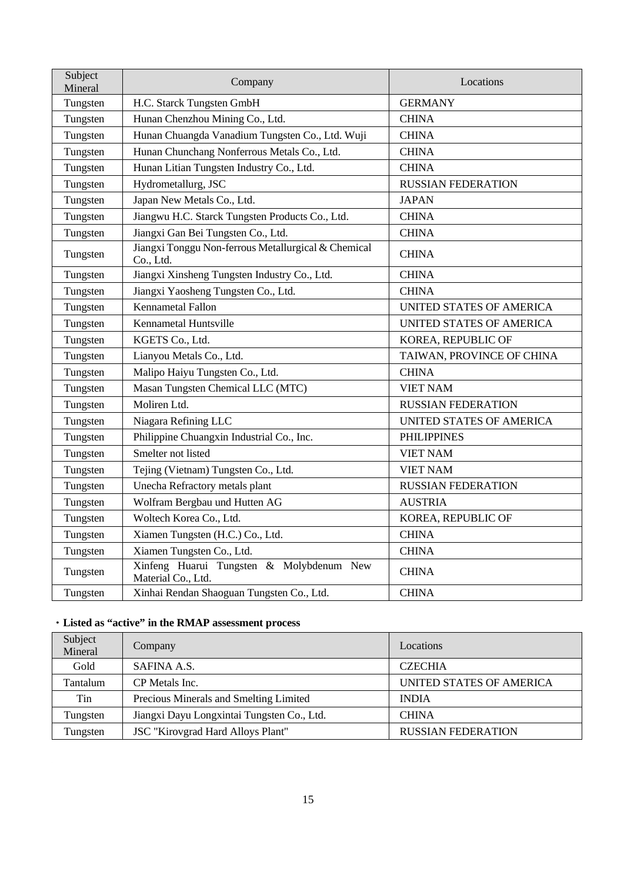| Subject<br>Mineral | Company                                                          | Locations                 |
|--------------------|------------------------------------------------------------------|---------------------------|
| Tungsten           | H.C. Starck Tungsten GmbH                                        | <b>GERMANY</b>            |
| Tungsten           | Hunan Chenzhou Mining Co., Ltd.                                  | <b>CHINA</b>              |
| Tungsten           | Hunan Chuangda Vanadium Tungsten Co., Ltd. Wuji                  | <b>CHINA</b>              |
| Tungsten           | Hunan Chunchang Nonferrous Metals Co., Ltd.                      | <b>CHINA</b>              |
| Tungsten           | Hunan Litian Tungsten Industry Co., Ltd.                         | <b>CHINA</b>              |
| Tungsten           | Hydrometallurg, JSC                                              | <b>RUSSIAN FEDERATION</b> |
| Tungsten           | Japan New Metals Co., Ltd.                                       | <b>JAPAN</b>              |
| Tungsten           | Jiangwu H.C. Starck Tungsten Products Co., Ltd.                  | <b>CHINA</b>              |
| Tungsten           | Jiangxi Gan Bei Tungsten Co., Ltd.                               | <b>CHINA</b>              |
| Tungsten           | Jiangxi Tonggu Non-ferrous Metallurgical & Chemical<br>Co., Ltd. | <b>CHINA</b>              |
| Tungsten           | Jiangxi Xinsheng Tungsten Industry Co., Ltd.                     | <b>CHINA</b>              |
| Tungsten           | Jiangxi Yaosheng Tungsten Co., Ltd.                              | <b>CHINA</b>              |
| Tungsten           | <b>Kennametal Fallon</b>                                         | UNITED STATES OF AMERICA  |
| Tungsten           | Kennametal Huntsville                                            | UNITED STATES OF AMERICA  |
| Tungsten           | KGETS Co., Ltd.                                                  | KOREA, REPUBLIC OF        |
| Tungsten           | Lianyou Metals Co., Ltd.                                         | TAIWAN, PROVINCE OF CHINA |
| Tungsten           | Malipo Haiyu Tungsten Co., Ltd.                                  | <b>CHINA</b>              |
| Tungsten           | Masan Tungsten Chemical LLC (MTC)                                | <b>VIET NAM</b>           |
| Tungsten           | Moliren Ltd.                                                     | <b>RUSSIAN FEDERATION</b> |
| Tungsten           | Niagara Refining LLC                                             | UNITED STATES OF AMERICA  |
| Tungsten           | Philippine Chuangxin Industrial Co., Inc.                        | <b>PHILIPPINES</b>        |
| Tungsten           | Smelter not listed                                               | <b>VIET NAM</b>           |
| Tungsten           | Tejing (Vietnam) Tungsten Co., Ltd.                              | <b>VIET NAM</b>           |
| Tungsten           | Unecha Refractory metals plant                                   | <b>RUSSIAN FEDERATION</b> |
| Tungsten           | Wolfram Bergbau und Hutten AG                                    | <b>AUSTRIA</b>            |
| Tungsten           | Woltech Korea Co., Ltd.                                          | KOREA, REPUBLIC OF        |
| Tungsten           | Xiamen Tungsten (H.C.) Co., Ltd.                                 | <b>CHINA</b>              |
| Tungsten           | Xiamen Tungsten Co., Ltd.                                        | <b>CHINA</b>              |
| Tungsten           | Xinfeng Huarui Tungsten & Molybdenum New<br>Material Co., Ltd.   | <b>CHINA</b>              |
| Tungsten           | Xinhai Rendan Shaoguan Tungsten Co., Ltd.                        | <b>CHINA</b>              |

# ・**Listed as "active" in the RMAP assessment process**

| Subject<br>Mineral | Company                                    | Locations                 |
|--------------------|--------------------------------------------|---------------------------|
| Gold               | SAFINA A.S.                                | <b>CZECHIA</b>            |
| Tantalum           | CP Metals Inc.                             | UNITED STATES OF AMERICA  |
| Tin                | Precious Minerals and Smelting Limited     | <b>INDIA</b>              |
| Tungsten           | Jiangxi Dayu Longxintai Tungsten Co., Ltd. | <b>CHINA</b>              |
| Tungsten           | <b>JSC</b> "Kirovgrad Hard Alloys Plant"   | <b>RUSSIAN FEDERATION</b> |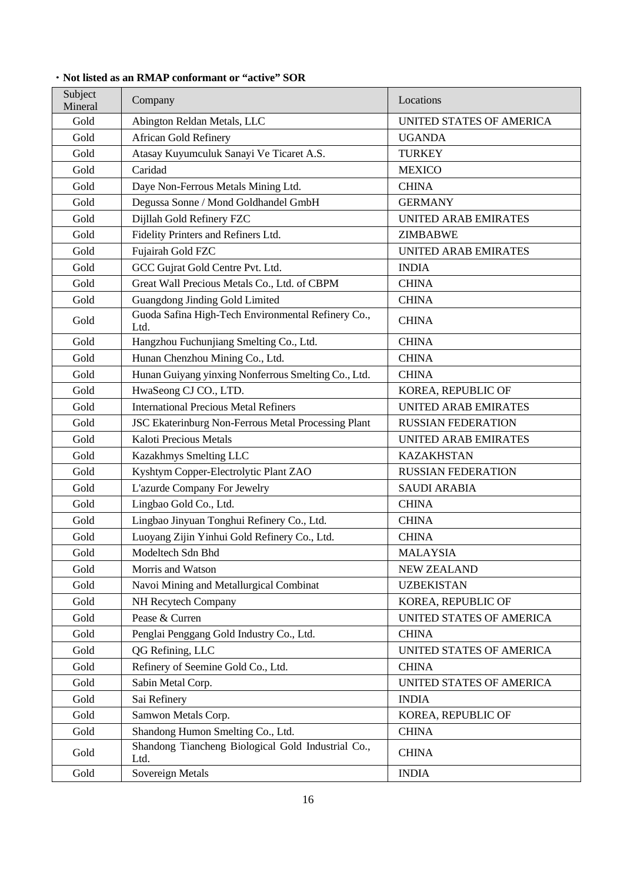| Subject<br>Mineral | Company                                                    | Locations                   |
|--------------------|------------------------------------------------------------|-----------------------------|
| Gold               | Abington Reldan Metals, LLC                                | UNITED STATES OF AMERICA    |
| Gold               | <b>African Gold Refinery</b>                               | <b>UGANDA</b>               |
| Gold               | Atasay Kuyumculuk Sanayi Ve Ticaret A.S.                   | <b>TURKEY</b>               |
| Gold               | Caridad                                                    | <b>MEXICO</b>               |
| Gold               | Daye Non-Ferrous Metals Mining Ltd.                        | <b>CHINA</b>                |
| Gold               | Degussa Sonne / Mond Goldhandel GmbH                       | <b>GERMANY</b>              |
| Gold               | Dijllah Gold Refinery FZC                                  | <b>UNITED ARAB EMIRATES</b> |
| Gold               | Fidelity Printers and Refiners Ltd.                        | <b>ZIMBABWE</b>             |
| Gold               | Fujairah Gold FZC                                          | <b>UNITED ARAB EMIRATES</b> |
| Gold               | GCC Gujrat Gold Centre Pvt. Ltd.                           | <b>INDIA</b>                |
| Gold               | Great Wall Precious Metals Co., Ltd. of CBPM               | <b>CHINA</b>                |
| Gold               | Guangdong Jinding Gold Limited                             | <b>CHINA</b>                |
| Gold               | Guoda Safina High-Tech Environmental Refinery Co.,<br>Ltd. | <b>CHINA</b>                |
| Gold               | Hangzhou Fuchunjiang Smelting Co., Ltd.                    | <b>CHINA</b>                |
| Gold               | Hunan Chenzhou Mining Co., Ltd.                            | <b>CHINA</b>                |
| Gold               | Hunan Guiyang yinxing Nonferrous Smelting Co., Ltd.        | <b>CHINA</b>                |
| Gold               | HwaSeong CJ CO., LTD.                                      | KOREA, REPUBLIC OF          |
| Gold               | <b>International Precious Metal Refiners</b>               | <b>UNITED ARAB EMIRATES</b> |
| Gold               | JSC Ekaterinburg Non-Ferrous Metal Processing Plant        | <b>RUSSIAN FEDERATION</b>   |
| Gold               | Kaloti Precious Metals                                     | <b>UNITED ARAB EMIRATES</b> |
| Gold               | Kazakhmys Smelting LLC                                     | <b>KAZAKHSTAN</b>           |
| Gold               | Kyshtym Copper-Electrolytic Plant ZAO                      | <b>RUSSIAN FEDERATION</b>   |
| Gold               | L'azurde Company For Jewelry                               | <b>SAUDI ARABIA</b>         |
| Gold               | Lingbao Gold Co., Ltd.                                     | <b>CHINA</b>                |
| Gold               | Lingbao Jinyuan Tonghui Refinery Co., Ltd.                 | <b>CHINA</b>                |
| Gold               | Luoyang Zijin Yinhui Gold Refinery Co., Ltd.               | <b>CHINA</b>                |
| Gold               | Modeltech Sdn Bhd                                          | MALAYSIA                    |
| Gold               | Morris and Watson                                          | <b>NEW ZEALAND</b>          |
| Gold               | Navoi Mining and Metallurgical Combinat                    | <b>UZBEKISTAN</b>           |
| Gold               | NH Recytech Company                                        | KOREA, REPUBLIC OF          |
| Gold               | Pease & Curren                                             | UNITED STATES OF AMERICA    |
| Gold               | Penglai Penggang Gold Industry Co., Ltd.                   | <b>CHINA</b>                |
| Gold               | QG Refining, LLC                                           | UNITED STATES OF AMERICA    |
| Gold               | Refinery of Seemine Gold Co., Ltd.                         | <b>CHINA</b>                |
| Gold               | Sabin Metal Corp.                                          | UNITED STATES OF AMERICA    |
| Gold               | Sai Refinery                                               | <b>INDIA</b>                |
| Gold               | Samwon Metals Corp.                                        | KOREA, REPUBLIC OF          |
| Gold               | Shandong Humon Smelting Co., Ltd.                          | <b>CHINA</b>                |
| Gold               | Shandong Tiancheng Biological Gold Industrial Co.,<br>Ltd. | <b>CHINA</b>                |
| Gold               | Sovereign Metals                                           | <b>INDIA</b>                |

# ・**Not listed as an RMAP conformant or "active" SOR**